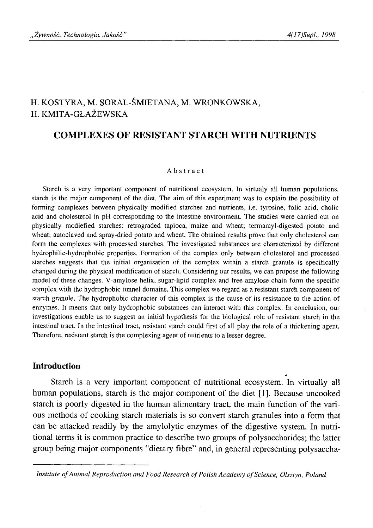# H. KOSTYRA, M. SORAL-ŚMIETANA, M. WRONKOWSKA, H. KMITA-GŁAŻEWSKA

## **COMPLEXES OF RESISTANT STARCH WITH NUTRIENTS**

#### Abstract

Starch is a very important component of nutritional ecosystem. In virtualy all human populations, starch is the major component of the diet. The aim of this experiment was to explain the possibility of forming complexes between physically modified starches and nutrients, i.e. tyrosine, folic acid, cholic acid and cholesterol in pH corresponding to the intestine environment. The studies were carried out on physically modiefied starches: retrograded tapioca, maize and wheat; termamyl-digested potato and wheat; autoclaved and spray-dried potato and wheat. The obtained results prove that only cholesterol can form the complexes with processed starches. The investigated substances are characterized by different hydrophilic-hydrophobic properties. Formation of the complex only between cholesterol and processed starches suggests that the initial organisation of the complex within a starch granule is specifically changed during the physical modification of starch. Considering our results, we can propose the following model of these changes. V-amylose helix, sugar-lipid complex and free amylose chain form the specific complex with the hydrophobic tunnel domains. This complex we regard as a resistant starch component of starch granule. The hydrophobic character of this complex is the cause of its resistance to the action of enzymes. It means that only hydrophobic substances can interact with this complex. In conclusion, our investigations enable us to suggest an initial hypothesis for the biological role of resistant starch in the intestinal tract. In the intestinal tract, resistant starch could first of all play the role of a thickening agent. Therefore, resistant starch is the complexing agent of nutrients to a lesser degree.

## **Introduction**

Starch is a very important component of nutritional ecosystem. In virtually all human populations, starch is the major component of the diet [1]. Because uncooked starch is poorly digested in the human alimentary tract, the main function of the various methods of cooking starch materials is so convert starch granules into a form that can be attacked readily by the amylolytic enzymes of the digestive system. In nutritional terms it is common practice to describe two groups of polysaccharides; the latter group being major components "dietary fibre" and, in general representing polysaccha-

*Institute of Animal Reproduction and Food Research of Polish Academy of Science, Olsztyn, Poland*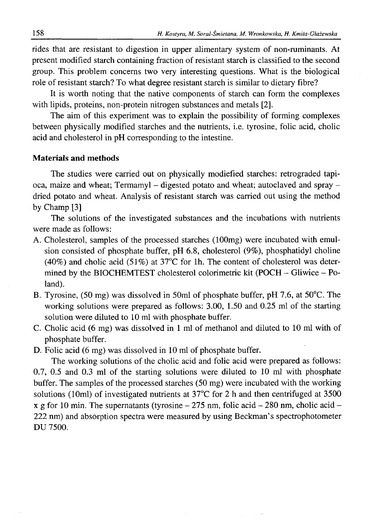rides that are resistant to digestion in upper alimentary system of non-ruminants. At present modified starch containing fraction of resistant starch is classified to the second group. This problem concerns two very interesting questions. What is the biological role of resistant starch? To what degree resistant starch is similar to dietary fibre?

It is worth noting that the native components of starch can form the complexes with lipids, proteins, non-protein nitrogen substances and metals [2].

The aim of this experiment was to explain the possibility of forming complexes between physically modified starches and the nutrients, i.e. tyrosine, folic acid, cholic acid and cholesterol in pH corresponding to the intestine.

#### **Materials and methods**

The studies were carried out on physically modiefied starches: retrograded tapioca, maize and wheat; Termamyl - digested potato and wheat; autoclaved and spray dried potato and wheat. Analysis of resistant starch was carried out using the method by Champ [3]

The solutions of the investigated substances and the incubations with nutrients were made as follows:

- A. Cholesterol, samples of the processed starches (lOOmg) were incubated with emulsion consisted of phosphate buffer, pH 6.8, cholesterol (9%), phosphatidyl choline (40%) and cholic acid (51%) at 37°C for lh. The content of cholesterol was determined by the BIOCHEMTEST cholesterol colorimetric kit (POCH - Gliwice - Poland).
- B. Tyrosine, (50 mg) was dissolved in 50ml of phosphate buffer, pH 7.6, at 50°C. The working solutions were prepared as follows: 3.00, 1.50 and 0.25 ml of the starting solution were diluted to 10 ml with phosphate buffer.
- C. Cholic acid (6 mg) was dissolved in 1 ml of methanol and diluted to 10 ml with of phosphate buffer.

D. Folic acid (6 mg) was dissolved in 10 ml of phosphate buffer.

The working solutions of the cholic acid and folic acid were prepared as follows: 0.7, 0.5 and 0.3 ml of the starting solutions were diluted to 10 ml with phosphate buffer. The samples of the processed starches (50 mg) were incubated with the working solutions (10ml) of investigated nutrients at  $37^{\circ}$ C for 2 h and then centrifuged at 3500 x g for 10 min. The supernatants (tyrosine  $-275$  nm, folic acid  $-280$  nm, cholic acid  $-$ 222 nm) and absorption spectra were measured by using Beckman's spectrophotometer DU 7500.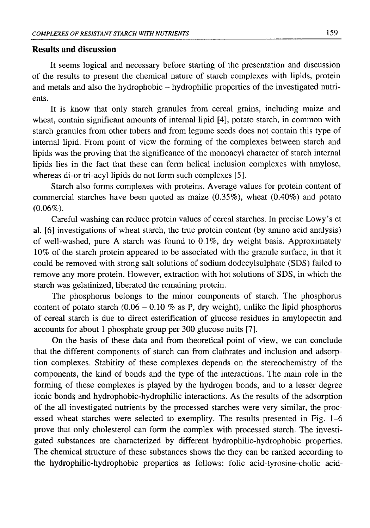### **Results and discussion**

It seems logical and necessary before starting of the presentation and discussion of the results to present the chemical nature of starch complexes with lipids, protein and metals and also the hydrophobic -- hydrophilic properties of the investigated nutrients.

It is know that only starch granules from cereal grains, including maize and wheat, contain significant amounts of internal lipid [4], potato starch, in common with starch granules from other tubers and from legume seeds does not contain this type of internal lipid. From point of view the forming of the complexes between starch and lipids was the proving that the significance of the monoacyl character of starch internal lipids lies in the fact that these can form helical inclusion complexes with amylose, whereas di-or tri-acyl lipids do not form such complexes [5].

Starch also forms complexes with proteins. Average values for protein content of commercial starches have been quoted as maize  $(0.35\%)$ , wheat  $(0.40\%)$  and potato  $(0.06\%).$ 

Careful washing can reduce protein values of cereal starches. In precise Lowy's et al. [6] investigations of wheat starch, the true protein content (by amino acid analysis) of well-washed, pure A starch was found to 0.1%, dry weight basis. Approximately 10% of the starch protein appeared to be associated with the granule surface, in that it could be removed with strong salt solutions of sodium dodecylsulphate (SDS) failed to remove any more protein. However, extraction with hot solutions of SDS, in which the starch was gelatinized, liberated the remaining protein.

The phosphorus belongs to the minor components of starch. The phosphorus content of potato starch  $(0.06 - 0.10 \%$  as P, dry weight), unlike the lipid phosphorus of cereal starch is due to direct esterification of glucose residues in amylopectin and accounts for about 1 phosphate group per 300 glucose nuits [7].

On the basis of these data and from theoretical point of view, we can conclude that the different components of starch can from clathrates and inclusion and adsorption complexes. Stabitity of these complexes depends on the stereochemistry of the components, the kind of bonds and the type of the interactions. The main role in the forming of these complexes is played by the hydrogen bonds, and to a lesser degree ionic bonds and hydrophobic-hydrophilic interactions. As the results of the adsorption of the all investigated nutrients by the processed starches were very similar, the processed wheat starches were selected to exemplity. The results presented in Fig. 1-6 prove that only cholesterol can form the complex with processed starch. The investigated substances are characterized by different hydrophilic-hydrophobic properties. The chemical structure of these substances shows the they can be ranked according to the hydrophilic-hydrophobic properties as follows: folic acid-tyrosine-cholic acid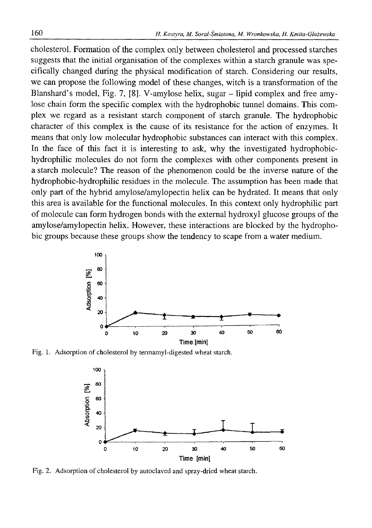cholesterol. Formation of the complex only between cholesterol and processed starches suggests that the initial organisation of the complexes within a starch granule was specifically changed during the physical modification of starch. Considering our results, we can propose the following model of these changes, witch is a transformation of the Blanshard's model, Fig. 7, [8]. V-amylose helix, sugar - lipid complex and free amylose chain form the specific complex with the hydrophobic tunnel domains. This complex we regard as a resistant starch component of starch granule. The hydrophobic character of this complex is the cause of its resistance for the action of enzymes. It means that only low molecular hydrophobic substances can interact with this complex. In the face of this fact it is interesting to ask, why the investigated hydrophobichydrophilic molecules do not form the complexes with other components present in a starch molecule? The reason of the phenomenon could be the inverse nature of the hydrophobic-hydrophilic residues in the molecule. The assumption has been made that only part of the hybrid amylose/amylopectin helix can be hydrated. It means that only this area is available for the functional molecules. In this context only hydrophilic part of molecule can form hydrogen bonds with the external hydroxyl glucose groups of the amylose/amylopectin helix. However, these interactions are blocked by the hydrophobic groups because these groups show the tendency to scape from a water medium.



Fig. 1. Adsorption of cholesterol by termamyl-digested wheat starch.



Fig. 2. Adsorption of cholesterol by autoclaved and spray-dried wheat starch.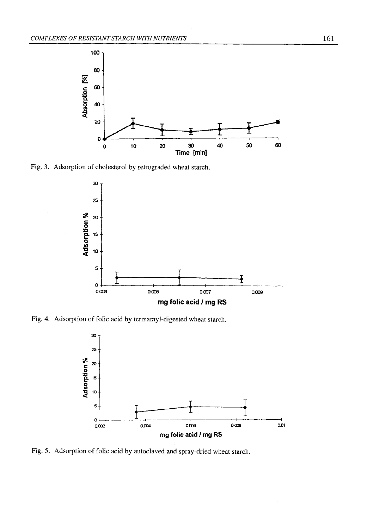

Fig. 3. Adsorption of cholesterol by retrograded wheat starch.



Fig. 4. Adsorption of folic acid by termamyl-digested wheat starch.



Fig. 5. Adsorption of folic acid by autoclaved and spray-dried wheat starch.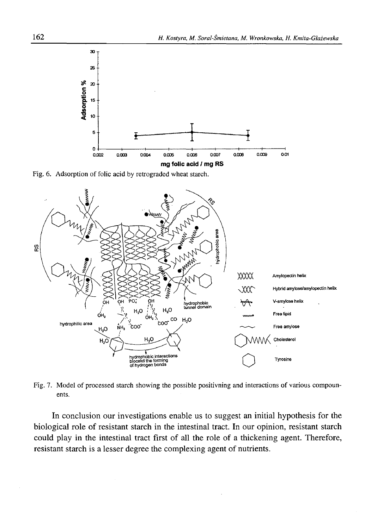

Fig. 6. Adsorption of folic acid by retrograded wheat starch.



Fig. 7. Model of processed starch showing the possible positivning and interactions of various compounents.

In conclusion our investigations enable us to suggest an initial hypothesis for the biological role of resistant starch in the intestinal tract. In our opinion, resistant starch could play in the intestinal tract first of all the role of a thickening agent. Therefore, resistant starch is a lesser degree the complexing agent of nutrients.